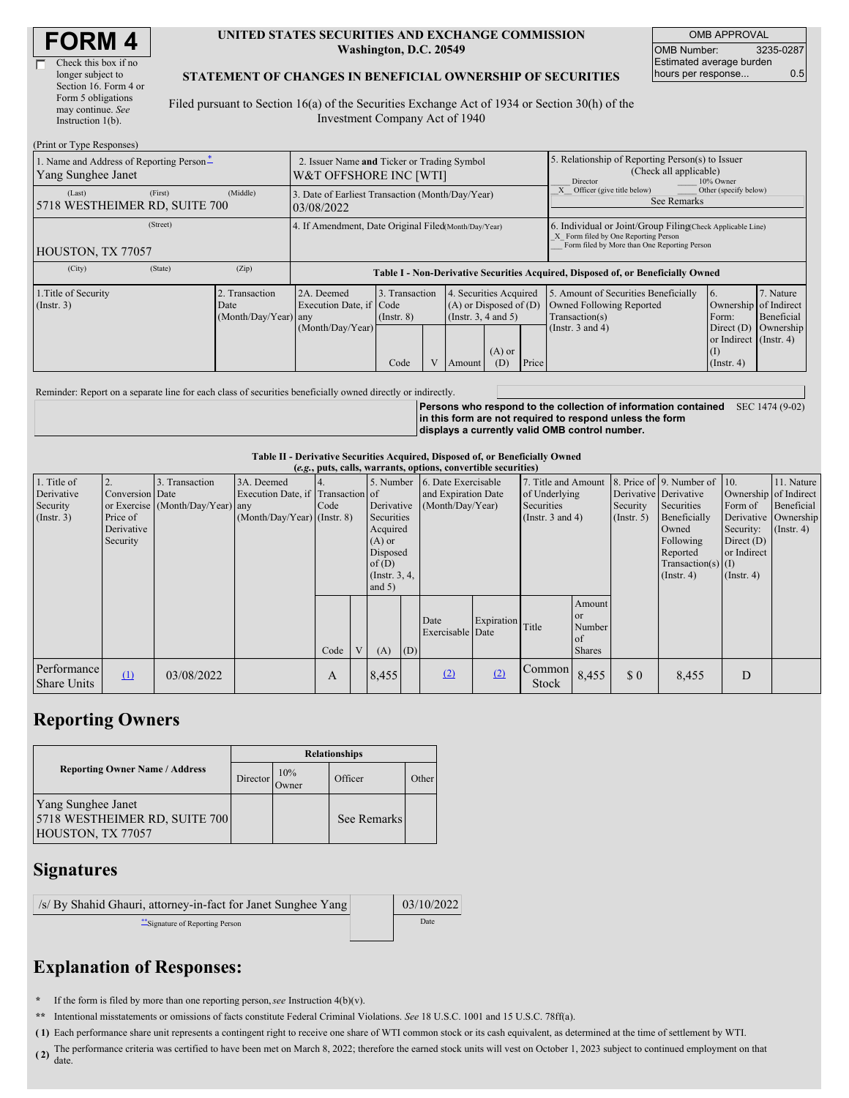| <b>FORM4</b> |
|--------------|
|--------------|

| Check this box if no  |
|-----------------------|
| longer subject to     |
| Section 16. Form 4 or |
| Form 5 obligations    |
| may continue. See     |
| Instruction 1(b).     |
|                       |

#### **UNITED STATES SECURITIES AND EXCHANGE COMMISSION Washington, D.C. 20549**

OMB APPROVAL OMB Number: 3235-0287 Estimated average burden hours per response... 0.5

### **STATEMENT OF CHANGES IN BENEFICIAL OWNERSHIP OF SECURITIES**

Filed pursuant to Section 16(a) of the Securities Exchange Act of 1934 or Section 30(h) of the Investment Company Act of 1940

| (Print or Type Responses)                                                                    |                                                                       |                                                                                  |                                   |  |                                                                              |                 |                                                                                                     |                                                                                                                                                    |                                                                |                         |  |
|----------------------------------------------------------------------------------------------|-----------------------------------------------------------------------|----------------------------------------------------------------------------------|-----------------------------------|--|------------------------------------------------------------------------------|-----------------|-----------------------------------------------------------------------------------------------------|----------------------------------------------------------------------------------------------------------------------------------------------------|----------------------------------------------------------------|-------------------------|--|
| 1. Name and Address of Reporting Person-<br>Yang Sunghee Janet                               | 2. Issuer Name and Ticker or Trading Symbol<br>W&T OFFSHORE INC [WTI] |                                                                                  |                                   |  |                                                                              |                 | 5. Relationship of Reporting Person(s) to Issuer<br>(Check all applicable)<br>Director<br>10% Owner |                                                                                                                                                    |                                                                |                         |  |
| (First)<br>(Last)<br>5718 WESTHEIMER RD, SUITE 700                                           | (Middle)                                                              | 3. Date of Earliest Transaction (Month/Day/Year)<br>03/08/2022                   |                                   |  |                                                                              |                 |                                                                                                     | Officer (give title below)<br>Other (specify below)<br>See Remarks                                                                                 |                                                                |                         |  |
| (Street)<br>HOUSTON, TX 77057                                                                |                                                                       | 4. If Amendment, Date Original Filed(Month/Day/Year)                             |                                   |  |                                                                              |                 |                                                                                                     | 6. Individual or Joint/Group Filing Check Applicable Line)<br>X Form filed by One Reporting Person<br>Form filed by More than One Reporting Person |                                                                |                         |  |
| (City)<br>(State)                                                                            | (Zip)                                                                 | Table I - Non-Derivative Securities Acquired, Disposed of, or Beneficially Owned |                                   |  |                                                                              |                 |                                                                                                     |                                                                                                                                                    |                                                                |                         |  |
| 1. Title of Security<br>2. Transaction<br>$($ Instr. 3 $)$<br>Date<br>$(Month/Day/Year)$ any |                                                                       | 2A. Deemed<br>Execution Date, if Code                                            | 3. Transaction<br>$($ Instr. $8)$ |  | 4. Securities Acquired<br>$(A)$ or Disposed of $(D)$<br>(Insert. 3, 4 and 5) |                 |                                                                                                     | 5. Amount of Securities Beneficially<br><b>Owned Following Reported</b><br>Transaction(s)                                                          | 16.<br>Ownership of Indirect<br>Form:                          | 7. Nature<br>Beneficial |  |
|                                                                                              |                                                                       | (Month/Day/Year)                                                                 | Code                              |  | Amount                                                                       | $(A)$ or<br>(D) | Price                                                                                               | (Instr. $3$ and $4$ )                                                                                                                              | Direct $(D)$<br>or Indirect (Instr. 4)<br>(I)<br>$($ Instr. 4) | Ownership               |  |

Reminder: Report on a separate line for each class of securities beneficially owned directly or indirectly.

**Persons who respond to the collection of information contained** SEC 1474 (9-02) **in this form are not required to respond unless the form displays a currently valid OMB control number.**

### **Table II - Derivative Securities Acquired, Disposed of, or Beneficially Owned**

| (e.g., puts, calls, warrants, options, convertible securities) |                 |                                  |                                   |                    |   |                  |                     |                     |               |                       |                       |                  |                          |                       |                        |
|----------------------------------------------------------------|-----------------|----------------------------------|-----------------------------------|--------------------|---|------------------|---------------------|---------------------|---------------|-----------------------|-----------------------|------------------|--------------------------|-----------------------|------------------------|
| 1. Title of                                                    |                 | 3. Transaction                   | 3A. Deemed                        |                    |   | 5. Number        |                     | 6. Date Exercisable |               | 7. Title and Amount   |                       |                  | 8. Price of 9. Number of | $\vert$ 10.           | 11. Nature             |
| Derivative                                                     | Conversion Date |                                  | Execution Date, if Transaction of |                    |   |                  | and Expiration Date |                     | of Underlying |                       | Derivative Derivative |                  |                          | Ownership of Indirect |                        |
| Security                                                       |                 | or Exercise (Month/Day/Year) any |                                   | Code<br>Derivative |   | (Month/Day/Year) |                     | Securities          |               | Security              | Securities            | Form of          | Beneficial               |                       |                        |
| (Insert. 3)                                                    | Price of        |                                  | $(Month/Day/Year)$ (Instr. 8)     |                    |   | Securities       |                     |                     |               | (Instr. $3$ and $4$ ) |                       | $($ Instr. 5 $)$ | Beneficially             |                       | Derivative   Ownership |
|                                                                | Derivative      |                                  |                                   |                    |   | Acquired         |                     |                     |               |                       |                       | Owned            | Security:                | $($ Instr. 4)         |                        |
|                                                                | Security        |                                  |                                   |                    |   | $(A)$ or         |                     |                     |               |                       |                       |                  | Following                | Direct $(D)$          |                        |
|                                                                |                 |                                  |                                   |                    |   | Disposed         |                     |                     |               |                       |                       |                  | Reported                 | or Indirect           |                        |
|                                                                |                 |                                  |                                   |                    |   | of $(D)$         |                     |                     |               |                       |                       |                  | $Transaction(s)$ (I)     |                       |                        |
|                                                                |                 |                                  |                                   |                    |   | (Instr. $3, 4,$  |                     |                     |               |                       |                       |                  | $($ Instr. 4 $)$         | $($ Instr. 4 $)$      |                        |
|                                                                |                 |                                  |                                   |                    |   | and $5)$         |                     |                     |               |                       |                       |                  |                          |                       |                        |
|                                                                |                 |                                  |                                   |                    |   |                  |                     |                     |               |                       | Amount                |                  |                          |                       |                        |
|                                                                |                 |                                  |                                   |                    |   |                  |                     | Date                | Expiration    |                       | <b>or</b>             |                  |                          |                       |                        |
|                                                                |                 |                                  |                                   |                    |   |                  |                     | Exercisable Date    |               | Title                 | Number                |                  |                          |                       |                        |
|                                                                |                 |                                  |                                   |                    |   |                  |                     |                     |               |                       | of                    |                  |                          |                       |                        |
|                                                                |                 |                                  |                                   | Code               | V | (A)              | (D)                 |                     |               |                       | <b>Shares</b>         |                  |                          |                       |                        |
| Performance                                                    | (1)             | 03/08/2022                       |                                   | A                  |   | 8,455            |                     | (2)                 | (2)           | Common                | 8,455                 | $\Omega$         | 8,455                    | D                     |                        |
| <b>Share Units</b>                                             |                 |                                  |                                   |                    |   |                  |                     |                     |               | Stock                 |                       |                  |                          |                       |                        |

## **Reporting Owners**

|                                                                          | <b>Relationships</b> |                     |             |       |  |  |  |  |
|--------------------------------------------------------------------------|----------------------|---------------------|-------------|-------|--|--|--|--|
| <b>Reporting Owner Name / Address</b>                                    | Director             | 10%<br><b>Twner</b> | Officer     | Other |  |  |  |  |
| Yang Sunghee Janet<br>5718 WESTHEIMER RD, SUITE 700<br>HOUSTON, TX 77057 |                      |                     | See Remarks |       |  |  |  |  |

## **Signatures**

| /s/ By Shahid Ghauri, attorney-in-fact for Janet Sunghee Yang | 03/10/2022 |
|---------------------------------------------------------------|------------|
| "Signature of Reporting Person"                               | Date       |

# **Explanation of Responses:**

**\*** If the form is filed by more than one reporting person,*see* Instruction 4(b)(v).

**\*\*** Intentional misstatements or omissions of facts constitute Federal Criminal Violations. *See* 18 U.S.C. 1001 and 15 U.S.C. 78ff(a).

**( 1)** Each performance share unit represents a contingent right to receive one share of WTI common stock or its cash equivalent, as determined at the time of settlement by WTI.

(2) The performance criteria was certified to have been met on March 8, 2022; therefore the earned stock units will vest on October 1, 2023 subject to continued employment on that date.